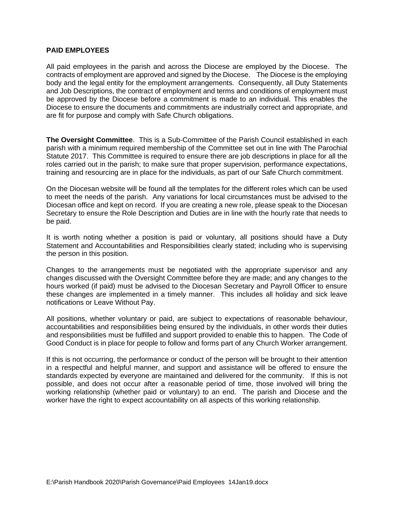#### **PAID EMPLOYEES**

All paid employees in the parish and across the Diocese are employed by the Diocese. The contracts of employment are approved and signed by the Diocese. The Diocese is the employing body and the legal entity for the employment arrangements. Consequently, all Duty Statements and Job Descriptions, the contract of employment and terms and conditions of employment must be approved by the Diocese before a commitment is made to an individual. This enables the Diocese to ensure the documents and commitments are industrially correct and appropriate, and are fit for purpose and comply with Safe Church obligations.

**The Oversight Committee**. This is a Sub-Committee of the Parish Council established in each parish with a minimum required membership of the Committee set out in line with The Parochial Statute 2017. This Committee is required to ensure there are job descriptions in place for all the roles carried out in the parish; to make sure that proper supervision, performance expectations, training and resourcing are in place for the individuals, as part of our Safe Church commitment.

On the Diocesan website will be found all the templates for the different roles which can be used to meet the needs of the parish. Any variations for local circumstances must be advised to the Diocesan office and kept on record. If you are creating a new role, please speak to the Diocesan Secretary to ensure the Role Description and Duties are in line with the hourly rate that needs to be paid.

It is worth noting whether a position is paid or voluntary, all positions should have a Duty Statement and Accountabilities and Responsibilities clearly stated; including who is supervising the person in this position.

Changes to the arrangements must be negotiated with the appropriate supervisor and any changes discussed with the Oversight Committee before they are made; and any changes to the hours worked (if paid) must be advised to the Diocesan Secretary and Payroll Officer to ensure these changes are implemented in a timely manner. This includes all holiday and sick leave notifications or Leave Without Pay.

All positions, whether voluntary or paid, are subject to expectations of reasonable behaviour, accountabilities and responsibilities being ensured by the individuals, in other words their duties and responsibilities must be fulfilled and support provided to enable this to happen. The Code of Good Conduct is in place for people to follow and forms part of any Church Worker arrangement.

If this is not occurring, the performance or conduct of the person will be brought to their attention in a respectful and helpful manner, and support and assistance will be offered to ensure the standards expected by everyone are maintained and delivered for the community. If this is not possible, and does not occur after a reasonable period of time, those involved will bring the working relationship (whether paid or voluntary) to an end. The parish and Diocese and the worker have the right to expect accountability on all aspects of this working relationship.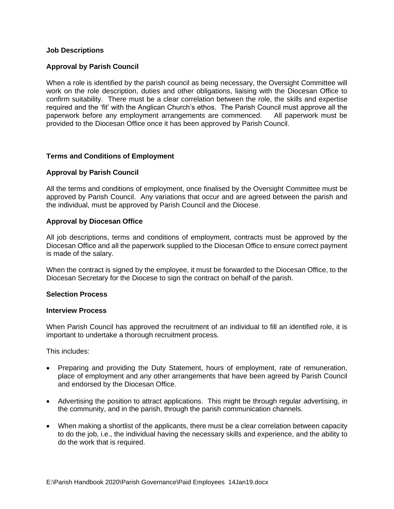# **Job Descriptions**

## **Approval by Parish Council**

When a role is identified by the parish council as being necessary, the Oversight Committee will work on the role description, duties and other obligations, liaising with the Diocesan Office to confirm suitability. There must be a clear correlation between the role, the skills and expertise required and the 'fit' with the Anglican Church's ethos. The Parish Council must approve all the paperwork before any employment arrangements are commenced. All paperwork must be provided to the Diocesan Office once it has been approved by Parish Council.

## **Terms and Conditions of Employment**

#### **Approval by Parish Council**

All the terms and conditions of employment, once finalised by the Oversight Committee must be approved by Parish Council. Any variations that occur and are agreed between the parish and the individual, must be approved by Parish Council and the Diocese.

#### **Approval by Diocesan Office**

All job descriptions, terms and conditions of employment, contracts must be approved by the Diocesan Office and all the paperwork supplied to the Diocesan Office to ensure correct payment is made of the salary.

When the contract is signed by the employee, it must be forwarded to the Diocesan Office, to the Diocesan Secretary for the Diocese to sign the contract on behalf of the parish.

#### **Selection Process**

#### **Interview Process**

When Parish Council has approved the recruitment of an individual to fill an identified role, it is important to undertake a thorough recruitment process.

This includes:

- Preparing and providing the Duty Statement, hours of employment, rate of remuneration, place of employment and any other arrangements that have been agreed by Parish Council and endorsed by the Diocesan Office.
- Advertising the position to attract applications. This might be through regular advertising, in the community, and in the parish, through the parish communication channels.
- When making a shortlist of the applicants, there must be a clear correlation between capacity to do the job, i.e., the individual having the necessary skills and experience, and the ability to do the work that is required.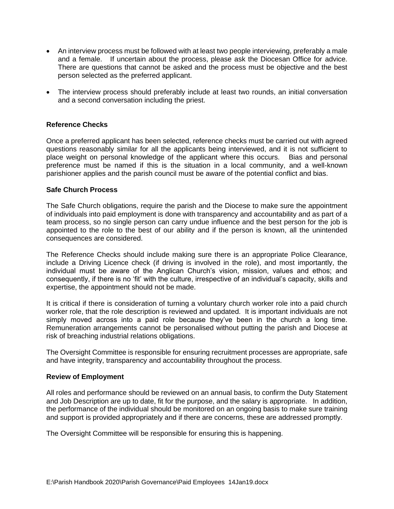- An interview process must be followed with at least two people interviewing, preferably a male and a female. If uncertain about the process, please ask the Diocesan Office for advice. There are questions that cannot be asked and the process must be objective and the best person selected as the preferred applicant.
- The interview process should preferably include at least two rounds, an initial conversation and a second conversation including the priest.

## **Reference Checks**

Once a preferred applicant has been selected, reference checks must be carried out with agreed questions reasonably similar for all the applicants being interviewed, and it is not sufficient to place weight on personal knowledge of the applicant where this occurs. Bias and personal preference must be named if this is the situation in a local community, and a well-known parishioner applies and the parish council must be aware of the potential conflict and bias.

## **Safe Church Process**

The Safe Church obligations, require the parish and the Diocese to make sure the appointment of individuals into paid employment is done with transparency and accountability and as part of a team process, so no single person can carry undue influence and the best person for the job is appointed to the role to the best of our ability and if the person is known, all the unintended consequences are considered.

The Reference Checks should include making sure there is an appropriate Police Clearance, include a Driving Licence check (if driving is involved in the role), and most importantly, the individual must be aware of the Anglican Church's vision, mission, values and ethos; and consequently, if there is no 'fit' with the culture, irrespective of an individual's capacity, skills and expertise, the appointment should not be made.

It is critical if there is consideration of turning a voluntary church worker role into a paid church worker role, that the role description is reviewed and updated. It is important individuals are not simply moved across into a paid role because they've been in the church a long time. Remuneration arrangements cannot be personalised without putting the parish and Diocese at risk of breaching industrial relations obligations.

The Oversight Committee is responsible for ensuring recruitment processes are appropriate, safe and have integrity, transparency and accountability throughout the process.

## **Review of Employment**

All roles and performance should be reviewed on an annual basis, to confirm the Duty Statement and Job Description are up to date, fit for the purpose, and the salary is appropriate. In addition, the performance of the individual should be monitored on an ongoing basis to make sure training and support is provided appropriately and if there are concerns, these are addressed promptly.

The Oversight Committee will be responsible for ensuring this is happening.